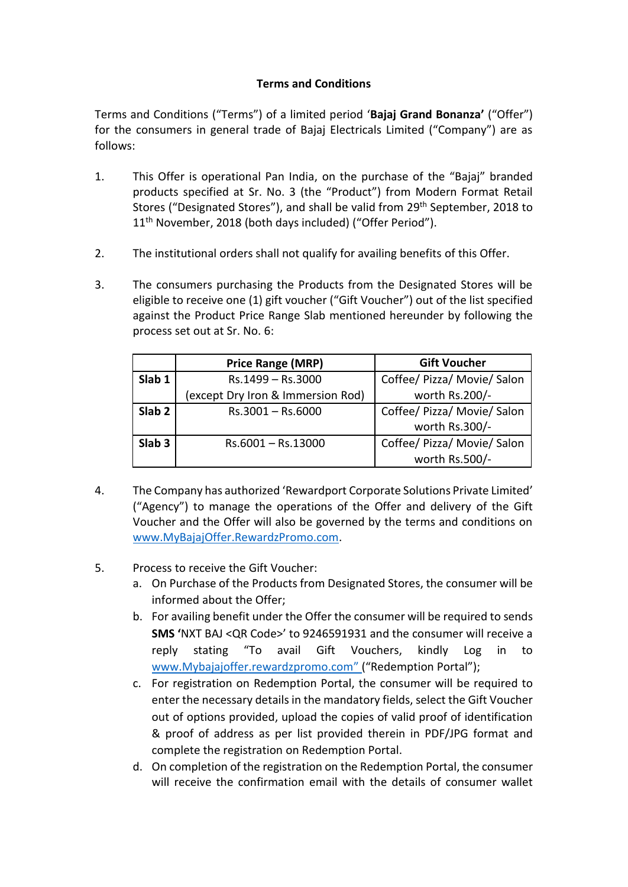## **Terms and Conditions**

Terms and Conditions ("Terms") of a limited period '**Bajaj Grand Bonanza'** ("Offer") for the consumers in general trade of Bajaj Electricals Limited ("Company") are as follows:

- 1. This Offer is operational Pan India, on the purchase of the "Bajaj" branded products specified at Sr. No. 3 (the "Product") from Modern Format Retail Stores ("Designated Stores"), and shall be valid from 29<sup>th</sup> September, 2018 to 11<sup>th</sup> November, 2018 (both days included) ("Offer Period").
- 2. The institutional orders shall not qualify for availing benefits of this Offer.
- 3. The consumers purchasing the Products from the Designated Stores will be eligible to receive one (1) gift voucher ("Gift Voucher") out of the list specified against the Product Price Range Slab mentioned hereunder by following the process set out at Sr. No. 6:

|                   | <b>Price Range (MRP)</b>          | <b>Gift Voucher</b>         |
|-------------------|-----------------------------------|-----------------------------|
| Slab 1            | Rs.1499 - Rs.3000                 | Coffee/ Pizza/ Movie/ Salon |
|                   | (except Dry Iron & Immersion Rod) | worth Rs.200/-              |
| Slab <sub>2</sub> | $Rs.3001 - Rs.6000$               | Coffee/ Pizza/ Movie/ Salon |
|                   |                                   | worth Rs.300/-              |
| Slab <sub>3</sub> | Rs.6001-Rs.13000                  | Coffee/ Pizza/ Movie/ Salon |
|                   |                                   | worth Rs.500/-              |

- 4. The Company has authorized 'Rewardport Corporate Solutions Private Limited' ("Agency") to manage the operations of the Offer and delivery of the Gift Voucher and the Offer will also be governed by the terms and conditions on [www.MyBajajOffer.RewardzPromo.com.](http://www.mybajajoffer.rewardzpromo.com/)
- 5. Process to receive the Gift Voucher:
	- a. On Purchase of the Products from Designated Stores, the consumer will be informed about the Offer;
	- b. For availing benefit under the Offer the consumer will be required to sends **SMS '**NXT BAJ <QR Code>' to 9246591931 and the consumer will receive a reply stating "To avail Gift Vouchers, kindly Log in to www.Mybajajoffer.rewardzpromo.com" ("Redemption Portal");
	- c. For registration on Redemption Portal, the consumer will be required to enter the necessary details in the mandatory fields, select the Gift Voucher out of options provided, upload the copies of valid proof of identification & proof of address as per list provided therein in PDF/JPG format and complete the registration on Redemption Portal.
	- d. On completion of the registration on the Redemption Portal, the consumer will receive the confirmation email with the details of consumer wallet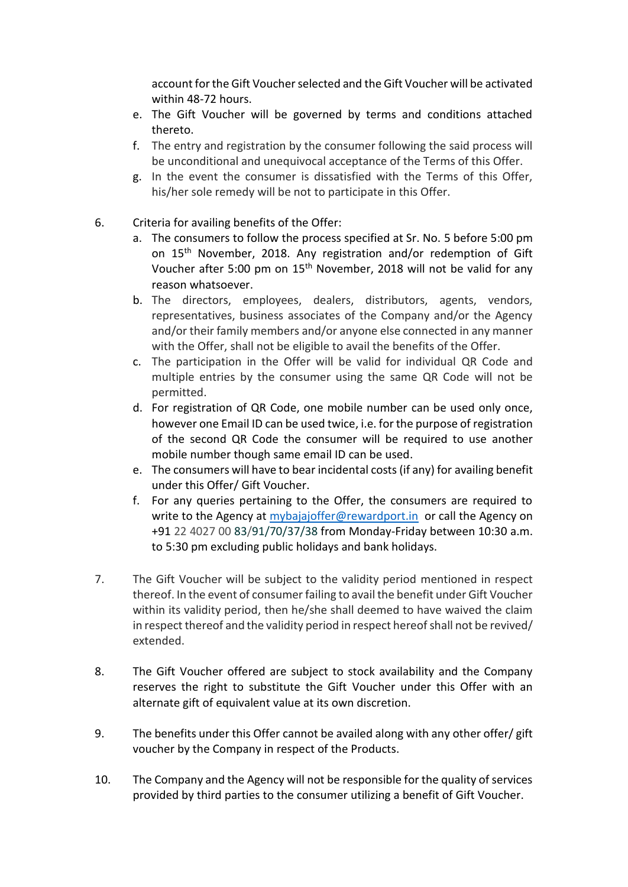account for the Gift Voucher selected and the Gift Voucher will be activated within 48-72 hours.

- e. The Gift Voucher will be governed by terms and conditions attached thereto.
- f. The entry and registration by the consumer following the said process will be unconditional and unequivocal acceptance of the Terms of this Offer.
- g. In the event the consumer is dissatisfied with the Terms of this Offer, his/her sole remedy will be not to participate in this Offer.
- 6. Criteria for availing benefits of the Offer:
	- a. The consumers to follow the process specified at Sr. No. 5 before 5:00 pm on 15th November, 2018. Any registration and/or redemption of Gift Voucher after 5:00 pm on 15<sup>th</sup> November, 2018 will not be valid for any reason whatsoever.
	- b. The directors, employees, dealers, distributors, agents, vendors, representatives, business associates of the Company and/or the Agency and/or their family members and/or anyone else connected in any manner with the Offer, shall not be eligible to avail the benefits of the Offer.
	- c. The participation in the Offer will be valid for individual QR Code and multiple entries by the consumer using the same QR Code will not be permitted.
	- d. For registration of QR Code, one mobile number can be used only once, however one Email ID can be used twice, i.e. for the purpose of registration of the second QR Code the consumer will be required to use another mobile number though same email ID can be used.
	- e. The consumers will have to bear incidental costs (if any) for availing benefit under this Offer/ Gift Voucher.
	- f. For any queries pertaining to the Offer, the consumers are required to write to the Agency at [mybajajoffer@rewardport.in](mailto:mybajajoffer@rewardport.in) or call the Agency on +91 22 4027 00 83/91/70/37/38 from Monday-Friday between 10:30 a.m. to 5:30 pm excluding public holidays and bank holidays.
- 7. The Gift Voucher will be subject to the validity period mentioned in respect thereof. In the event of consumer failing to avail the benefit under Gift Voucher within its validity period, then he/she shall deemed to have waived the claim in respect thereof and the validity period in respect hereof shall not be revived/ extended.
- 8. The Gift Voucher offered are subject to stock availability and the Company reserves the right to substitute the Gift Voucher under this Offer with an alternate gift of equivalent value at its own discretion.
- 9. The benefits under this Offer cannot be availed along with any other offer/ gift voucher by the Company in respect of the Products.
- 10. The Company and the Agency will not be responsible for the quality of services provided by third parties to the consumer utilizing a benefit of Gift Voucher.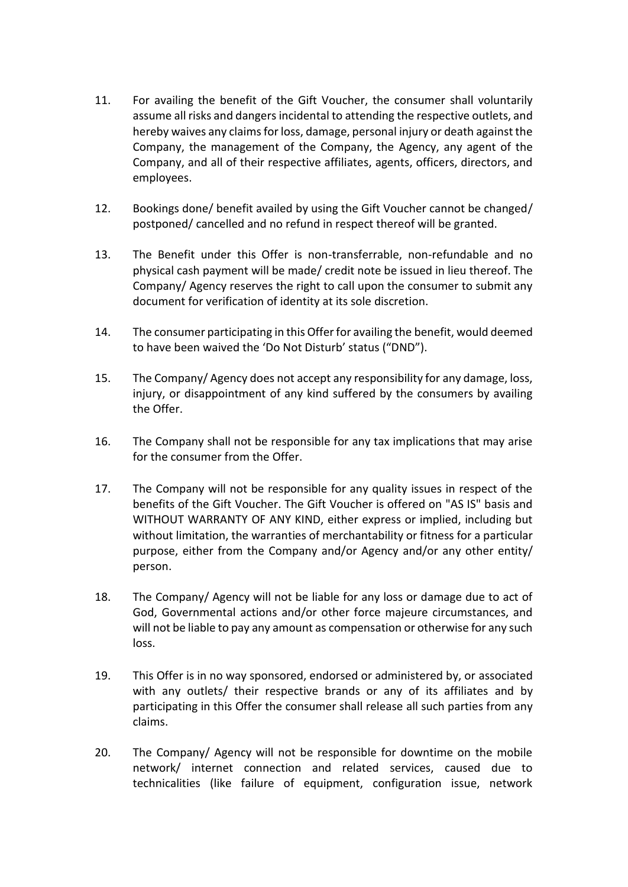- 11. For availing the benefit of the Gift Voucher, the consumer shall voluntarily assume all risks and dangers incidental to attending the respective outlets, and hereby waives any claims for loss, damage, personal injury or death against the Company, the management of the Company, the Agency, any agent of the Company, and all of their respective affiliates, agents, officers, directors, and employees.
- 12. Bookings done/ benefit availed by using the Gift Voucher cannot be changed/ postponed/ cancelled and no refund in respect thereof will be granted.
- 13. The Benefit under this Offer is non-transferrable, non-refundable and no physical cash payment will be made/ credit note be issued in lieu thereof. The Company/ Agency reserves the right to call upon the consumer to submit any document for verification of identity at its sole discretion.
- 14. The consumer participating in this Offer for availing the benefit, would deemed to have been waived the 'Do Not Disturb' status ("DND").
- 15. The Company/ Agency does not accept any responsibility for any damage, loss, injury, or disappointment of any kind suffered by the consumers by availing the Offer.
- 16. The Company shall not be responsible for any tax implications that may arise for the consumer from the Offer.
- 17. The Company will not be responsible for any quality issues in respect of the benefits of the Gift Voucher. The Gift Voucher is offered on "AS IS" basis and WITHOUT WARRANTY OF ANY KIND, either express or implied, including but without limitation, the warranties of merchantability or fitness for a particular purpose, either from the Company and/or Agency and/or any other entity/ person.
- 18. The Company/ Agency will not be liable for any loss or damage due to act of God, Governmental actions and/or other force majeure circumstances, and will not be liable to pay any amount as compensation or otherwise for any such loss.
- 19. This Offer is in no way sponsored, endorsed or administered by, or associated with any outlets/ their respective brands or any of its affiliates and by participating in this Offer the consumer shall release all such parties from any claims.
- 20. The Company/ Agency will not be responsible for downtime on the mobile network/ internet connection and related services, caused due to technicalities (like failure of equipment, configuration issue, network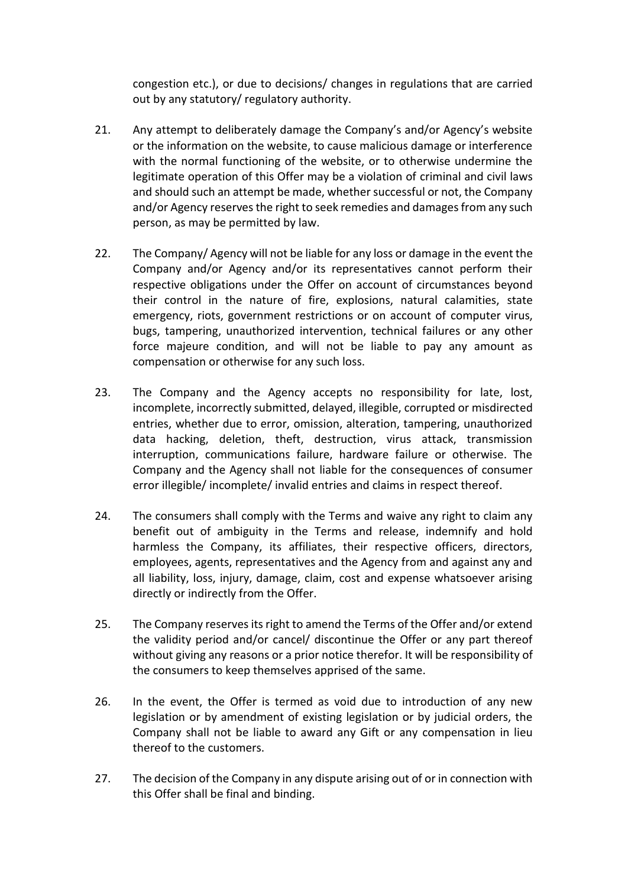congestion etc.), or due to decisions/ changes in regulations that are carried out by any statutory/ regulatory authority.

- 21. Any attempt to deliberately damage the Company's and/or Agency's website or the information on the website, to cause malicious damage or interference with the normal functioning of the website, or to otherwise undermine the legitimate operation of this Offer may be a violation of criminal and civil laws and should such an attempt be made, whether successful or not, the Company and/or Agency reserves the right to seek remedies and damages from any such person, as may be permitted by law.
- 22. The Company/ Agency will not be liable for any loss or damage in the event the Company and/or Agency and/or its representatives cannot perform their respective obligations under the Offer on account of circumstances beyond their control in the nature of fire, explosions, natural calamities, state emergency, riots, government restrictions or on account of computer virus, bugs, tampering, unauthorized intervention, technical failures or any other force majeure condition, and will not be liable to pay any amount as compensation or otherwise for any such loss.
- 23. The Company and the Agency accepts no responsibility for late, lost, incomplete, incorrectly submitted, delayed, illegible, corrupted or misdirected entries, whether due to error, omission, alteration, tampering, unauthorized data hacking, deletion, theft, destruction, virus attack, transmission interruption, communications failure, hardware failure or otherwise. The Company and the Agency shall not liable for the consequences of consumer error illegible/ incomplete/ invalid entries and claims in respect thereof.
- 24. The consumers shall comply with the Terms and waive any right to claim any benefit out of ambiguity in the Terms and release, indemnify and hold harmless the Company, its affiliates, their respective officers, directors, employees, agents, representatives and the Agency from and against any and all liability, loss, injury, damage, claim, cost and expense whatsoever arising directly or indirectly from the Offer.
- 25. The Company reserves its right to amend the Terms of the Offer and/or extend the validity period and/or cancel/ discontinue the Offer or any part thereof without giving any reasons or a prior notice therefor. It will be responsibility of the consumers to keep themselves apprised of the same.
- 26. In the event, the Offer is termed as void due to introduction of any new legislation or by amendment of existing legislation or by judicial orders, the Company shall not be liable to award any Gift or any compensation in lieu thereof to the customers.
- 27. The decision of the Company in any dispute arising out of or in connection with this Offer shall be final and binding.